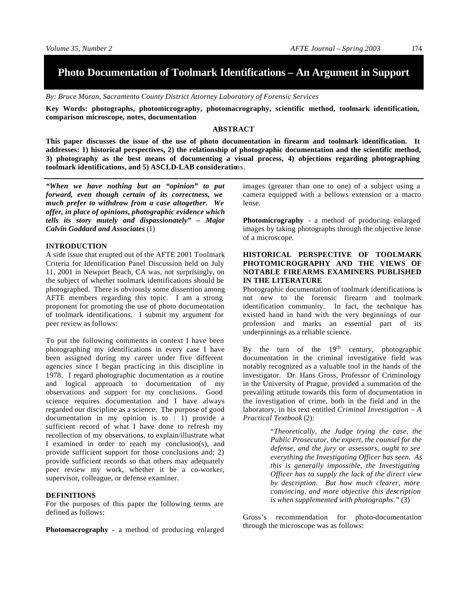# **Photo Documentation of Toolmark Identifications – An Argument in Support**

*By: Bruce Moran, Sacramento County District Attorney Laboratory of Forensic Services*

**Key Words: photographs, photomicrography, photomacrography, scientific method, toolmark identification, comparison microscope, notes, documentation**

## **ABSTRACT**

**This paper discusses the issue of the use of photo documentation in firearm and toolmark identification. It addresses: 1) historical perspectives, 2) the relationship of photographic documentation and the scientific method, 3) photography as the best means of documenting a visual process, 4) objections regarding photographing toolmark identifications, and 5) ASCLD-LAB consideratio**ns.

*"When we have nothing but an "opinion" to put forward, even though certain of its correctness, we much prefer to withdraw from a case altogether. We offer, in place of opinions, photographic evidence which tells its story mutely and dispassionately" – Major Calvin Goddard and Associates* (1)

## **INTRODUCTION**

A side issue that erupted out of the AFTE 2001 Toolmark Criteria for Identification Panel Discussion held on July 11, 2001 in Newport Beach, CA was, not surprisingly, on the subject of whether toolmark identifications should be photographed. There is obviously some dissention among AFTE members regarding this topic. I am a strong proponent for promoting the use of photo documentation of toolmark identifications. I submit my argument for peer review as follows:

To put the following comments in context I have been photographing my identifications in every case I have been assigned during my career under five different agencies since I began practicing in this discipline in 1978. I regard photographic documentation as a routine and logical approach to documentation of my observations and support for my conclusions. Good science requires documentation and I have always regarded our discipline as a science. The purpose of good documentation in my opinion is to : 1) provide a sufficient record of what I have done to refresh my recollection of my observations, to explain/illustrate what I examined in order to reach my conclusion(s), and provide sufficient support for those conclusions and; 2) provide sufficient records so that others may adequately peer review my work, whether it be a co-worker, supervisor, colleague, or defense examiner.

# **DEFINITIONS**

For the purposes of this paper the following terms are defined as follows:

**Photomacrography** - a method of producing enlarged

images (greater than one to one) of a subject using a camera equipped with a bellows extension or a macro lense.

**Photomicrography** - a method of producing enlarged images by taking photographs through the objective lense of a microscope.

# **HISTORICAL PERSPECTIVE OF TOOLMARK PHOTOMICROGRAPHY AND THE VIEWS OF NOTABLE FIREARMS EXAMINERS PUBLISHED IN THE LITERATURE**

Photographic documentation of toolmark identifications is not new to the forensic firearm and toolmark identification community. In fact, the technique has existed hand in hand with the very beginnings of our profession and marks an essential part of its underpinnings as a reliable science.

By the turn of the  $19<sup>th</sup>$  century, photographic documentation in the criminal investigative field was notably recognized as a valuable tool in the hands of the investigator. Dr. Hans Gross, Professor of Criminology in the University of Prague, provided a summation of the prevailing attitude towards this form of documentation in the investigation of crime, both in the field and in the laboratory, in his text entitled *Criminal Investigation – A Practical Textbook* (2):

> "*Theoretically, the Judge trying the case, the Public Prosecutor, the expert, the counsel for the defense, and the jury or assessors, ought to see everything the Investigating Officer has seen. As this is generally impossible, the Investigating Officer has to supply the lack of the direct view by description. But how much clearer, more convincing, and more objective this description is when supplemented with photographs."* (3)

Gross's recommendation for photo-documentation through the microscope was as follows: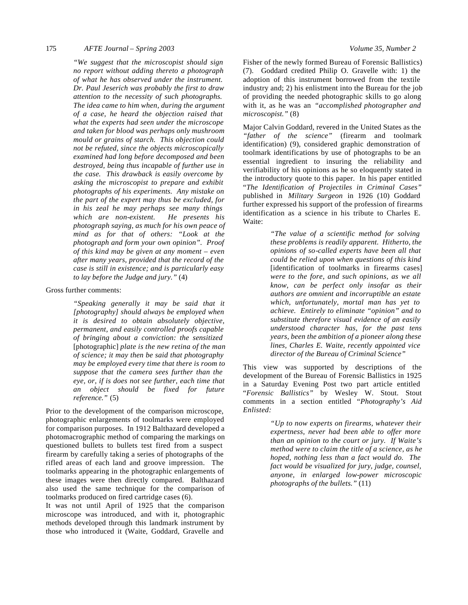#### 175 *AFTE Journal – Spring 2003 Volume 35, Number 2*

*"We suggest that the microscopist should sign no report without adding thereto a photograph of what he has observed under the instrument. Dr. Paul Jeserich was probably the first to draw attention to the necessity of such photographs. The idea came to him when, during the argument of a case, he heard the objection raised that what the experts had seen under the microscope and taken for blood was perhaps only mushroom mould or grains of starch. This objection could not be refuted, since the objects microscopically examined had long before decomposed and been destroyed, being thus incapable of further use in the case. This drawback is easily overcome by asking the microscopist to prepare and exhibit photographs of his experiments. Any mistake on the part of the expert may thus be excluded, for in his zeal he may perhaps see many things which are non-existent. He presents his photograph saying, as much for his own peace of mind as for that of others: "Look at the photograph and form your own opinion". Proof of this kind may be given at any moment – even after many years, provided that the record of the case is still in existence; and is particularly easy to lay before the Judge and jury."* (4)

#### Gross further comments:

*"Speaking generally it may be said that it [photography] should always be employed when it is desired to obtain absolutely objective, permanent, and easily controlled proofs capable of bringing about a conviction: the sensitized*  [photographic] *plate is the new retina of the man of science; it may then be said that photography may be employed every time that there is room to suppose that the camera sees further than the eye, or, if is does not see further, each time that an object should be fixed for future reference."* (5)

Prior to the development of the comparison microscope, photographic enlargements of toolmarks were employed for comparison purposes. In 1912 Balthazard developed a photomacrographic method of comparing the markings on questioned bullets to bullets test fired from a suspect firearm by carefully taking a series of photographs of the rifled areas of each land and groove impression. The toolmarks appearing in the photographic enlargements of these images were then directly compared. Balthazard also used the same technique for the comparison of toolmarks produced on fired cartridge cases (6).

It was not until April of 1925 that the comparison microscope was introduced, and with it, photographic methods developed through this landmark instrument by those who introduced it (Waite, Goddard, Gravelle and

Fisher of the newly formed Bureau of Forensic Ballistics) (7). Goddard credited Philip O. Gravelle with: 1) the adoption of this instrument borrowed from the textile industry and; 2) his enlistment into the Bureau for the job of providing the needed photographic skills to go along with it, as he was an *"accomplished photographer and microscopist."* (8)

Major Calvin Goddard, revered in the United States as the *"father of the science"* (firearm and toolmark identification) (9), considered graphic demonstration of toolmark identifications by use of photographs to be an essential ingredient to insuring the reliability and verifiability of his opinions as he so eloquently stated in the introductory quote to this paper. In his paper entitled "*The Identification of Projectiles in Criminal Cases"* published in *Military Surgeon* in 1926 (10) Goddard further expressed his support of the profession of firearms identification as a science in his tribute to Charles E. Waite:

> *"The value of a scientific method for solving these problems is readily apparent. Hitherto, the opinions of so-called experts have been all that could be relied upon when questions of this kind*  [identification of toolmarks in firearms cases] *were to the fore, and such opinions, as we all know, can be perfect only insofar as their authors are omnient and incorruptible an estate which, unfortunately, mortal man has yet to achieve. Entirely to eliminate "opinion" and to substitute therefore visual evidence of an easily understood character has, for the past tens years, been the ambition of a pioneer along these lines, Charles E. Waite, recently appointed vice director of the Bureau of Criminal Science"*

This view was supported by descriptions of the development of the Bureau of Forensic Ballistics in 1925 in a Saturday Evening Post two part article entitled "*Forensic Ballistics"* by Wesley W. Stout. Stout comments in a section entitled "*Photography's Aid Enlisted:*

> *"Up to now experts on firearms, whatever their expertness, never had been able to offer more than an opinion to the court or jury. If Waite's method were to claim the title of a science, as he hoped, nothing less than a fact would do. The fact would be visualized for jury, judge, counsel, anyone, in enlarged low-power microscopic photographs of the bullets."* (11)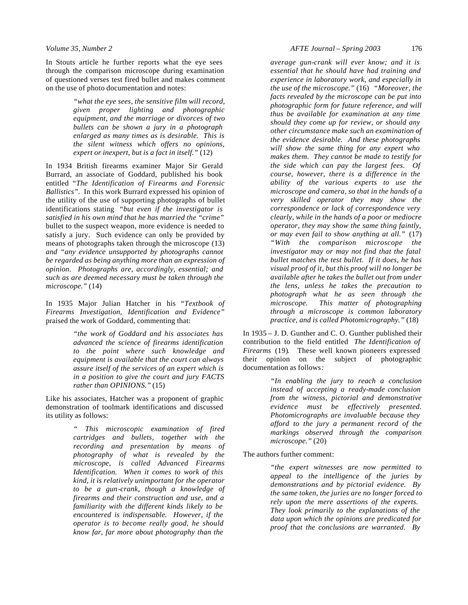In Stouts article he further reports what the eye sees through the comparison microscope during examination of questioned verses test fired bullet and makes comment on the use of photo documentation and notes:

> *"what the eye sees, the sensitive film will record, given proper lighting and photographic equipment, and the marriage or divorces of two bullets can be shown a jury in a photograph enlarged as many times as is desirable. This is the silent witness which offers no opinions, expert or inexpert, but is a fact in itself."* (12)

In 1934 British firearms examiner Major Sir Gerald Burrard, an associate of Goddard, published his book entitled "*The Identification of Firearms and Forensic Ballistics".* In this work Burrard expressed his opinion of the utility of the use of supporting photographs of bullet identifications stating *"but even if the investigator is satisfied in his own mind that he has married the "crime*" bullet to the suspect weapon, more evidence is needed to satisfy a jury. Such evidence can only be provided by means of photographs taken through the microscope (13) *and "any evidence unsupported by photographs cannot be regarded as being anything more than an expression of opinion. Photographs are, accordingly, essential; and such as are deemed necessary must be taken through the microscope."* (14)

In 1935 Major Julian Hatcher in his "*Textbook of Firearms Investigation, Identification and Evidence"* praised the work of Goddard, commenting that:

> *"the work of Goddard and his associates has advanced the science of firearms identification to the point where such knowledge and equipment is available that the court can always assure itself of the services of an expert which is in a position to give the court and jury FACTS rather than OPINIONS."* (15)

Like his associates, Hatcher was a proponent of graphic demonstration of toolmark identifications and discussed its utility as follows:

> *" This microscopic examination of fired cartridges and bullets, together with the recording and presentation by means of photography of what is revealed by the microscope, is called Advanced Firearms Identification. When it comes to work of this kind, it is relatively unimportant for the operator to be a gun-crank, though a knowledge of firearms and their construction and use, and a familiarity with the different kinds likely to be encountered is indispensable. However, if the operator is to become really good, he should know far, far more about photography than the*

*average gun-crank will ever know; and it is essential that he should have had training and experience in laboratory work, and especially in the use of the microscope."* (16) *"Moreover, the facts revealed by the microscope can be put into photographic form for future reference, and will thus be available for examination at any time should they come up for review, or should any other circumstance make such an examination of the evidence desirable. And these photographs will show the same thing for any expert who makes them. They cannot be made to testify for the side which can pay the largest fees. Of course, however, there is a difference in the ability of the various experts to use the microscope and camera, so that in the hands of a very skilled operator they may show the correspondence or lack of correspondence very clearly, while in the hands of a poor or mediocre operator, they may show the same thing faintly, or may even fail to show anything at all."* (17) *"With the comparison microscope the investigator may or may not find that the fatal bullet matches the test bullet. If it does, he has visual proof of it, but this proof will no longer be available after he takes the bullet out from under the lens, unless he takes the precaution to photograph what he as seen through the microscope. This matter of photographing through a microscope is common laboratory practice, and is called Photomicrography."* (18)

In 1935 – J. D. Gunther and C. O. Gunther published their contribution to the field entitled *The Identification of Firearms* (19)*.* These well known pioneers expressed their opinion on the subject of photographic documentation as follows*:* 

> *"In enabling the jury to reach a conclusion instead of accepting a ready-made conclusion from the witness, pictorial and demonstrative evidence must be effectively presented. Photomicrographs are invaluable because they afford to the jury a permanent record of the markings observed through the comparison microscope."* (20)

The authors further comment:

*"the expert witnesses are now permitted to appeal to the intelligence of the juries by demonstrations and by pictorial evidence. By the same token, the juries are no longer forced to rely upon the mere assertions of the experts. They look primarily to the explanations of the data upon which the opinions are predicated for proof that the conclusions are warranted. By*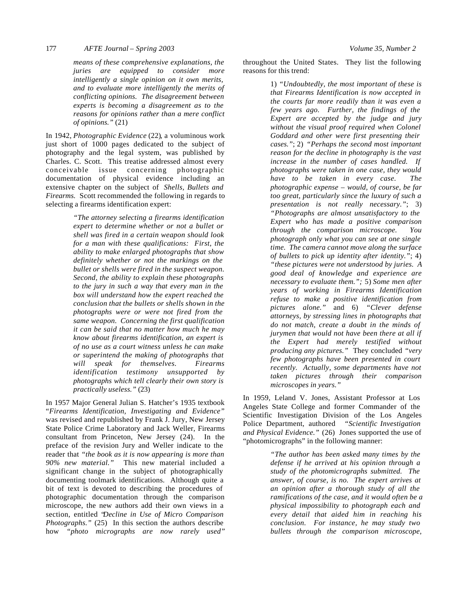*means of these comprehensive explanations, the juries are equipped to consider more intelligently a single opinion on it own merits, and to evaluate more intelligently the merits of conflicting opinions. The disagreement between experts is becoming a disagreement as to the reasons for opinions rather than a mere conflict of opinions."* (21)

In 1942, *Photographic Evidence* (22)*,* a voluminous work just short of 1000 pages dedicated to the subject of photography and the legal system, was published by Charles. C. Scott. This treatise addressed almost every conceivable issue concerning photographic documentation of physical evidence including an extensive chapter on the subject of *Shells, Bullets and Firearms.* Scott recommended the following in regards to selecting a firearms identification expert:

> *"The attorney selecting a firearms identification expert to determine whether or not a bullet or shell was fired in a certain weapon should look for a man with these qualifications: First, the ability to make enlarged photographs that show definitely whether or not the markings on the bullet or shells were fired in the suspect weapon. Second, the ability to explain these photographs to the jury in such a way that every man in the box will understand how the expert reached the conclusion that the bullets or shells shown in the photographs were or were not fired from the same weapon. Concerning the first qualification it can be said that no matter how much he may know about firearms identification, an expert is of no use as a court witness unless he can make or superintend the making of photographs that will speak for themselves. Firearms identification testimony unsupported by photographs which tell clearly their own story is practically useless."* (23)

In 1957 Major General Julian S. Hatcher's 1935 textbook "*Firearms Identification, Investigating and Evidence"* was revised and republished by Frank J. Jury, New Jersey State Police Crime Laboratory and Jack Weller, Firearms consultant from Princeton, New Jersey (24). In the preface of the revision Jury and Weller indicate to the reader that *"the book as it is now appearing is more than 90% new material."* This new material included a significant change in the subject of photographically documenting toolmark identifications. Although quite a bit of text is devoted to describing the procedures of photographic documentation through the comparison microscope, the new authors add their own views in a section, entitled "*Decline in Use of Micro Comparison Photographs."* (25) In this section the authors describe how *"photo micrographs are now rarely used"*

throughout the United States. They list the following reasons for this trend:

> 1) *"Undoubtedly, the most important of these is that Firearms Identification is now accepted in the courts far more readily than it was even a few years ago. Further, the findings of the Expert are accepted by the judge and jury without the visual proof required when Colonel Goddard and other were first presenting their cases."*; 2) *"Perhaps the second most important reason for the decline in photography is the vast increase in the number of cases handled. If photographs were taken in one case, they would have to be taken in every case. The photographic expense – would, of course, be far too great, particularly since the luxury of such a presentation is not really necessary."*; 3) *"Photographs are almost unsatisfactory to the Expert who has made a positive comparison through the comparison microscope. You photograph only what you can see at one single time. The camera cannot move along the surface of bullets to pick up identity after identity."*; 4) *"these pictures were not understood by juries. A good deal of knowledge and experience are necessary to evaluate them.";* 5) *Some men after years of working in Firearms Identification refuse to make a positive identification from pictures alone."* and 6) *"Clever defense attorneys, by stressing lines in photographs that do not match, create a doubt in the minds of jurymen that would not have been there at all if the Expert had merely testified without producing any pictures."* They concluded *"very few photographs have been presented in court recently. Actually, some departments have not taken pictures through their comparison microscopes in years."*

In 1959, Leland V. Jones, Assistant Professor at Los Angeles State College and former Commander of the Scientific Investigation Division of the Los Angeles Police Department, authored *"Scientific Investigation and Physical Evidence."* (26) Jones supported the use of "photomicrographs" in the following manner:

> *"The author has been asked many times by the defense if he arrived at his opinion through a study of the photomicrographs submitted. The answer, of course, is no. The expert arrives at an opinion after a thorough study of all the ramifications of the case, and it would often be a physical impossibility to photograph each and every detail that aided him in reaching his conclusion. For instance, he may study two bullets through the comparison microscope,*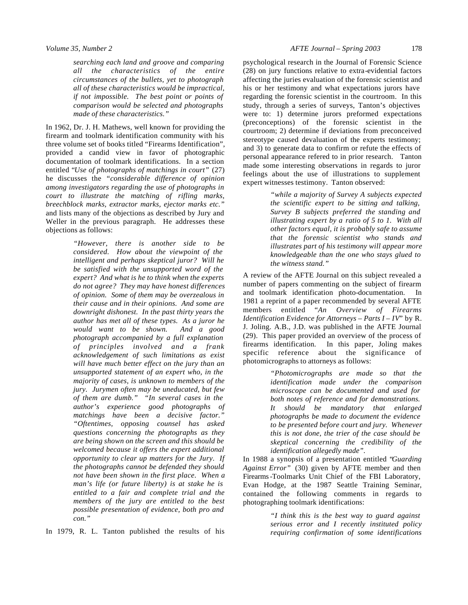*searching each land and groove and comparing all the characteristics of the entire circumstances of the bullets, yet to photograph all of these characteristics would be impractical, if not impossible. The best point or points of comparison would be selected and photographs made of these characteristics."*

In 1962, Dr. J. H. Mathews, well known for providing the firearm and toolmark identification community with his three volume set of books titled "Firearms Identification", provided a candid view in favor of photographic documentation of toolmark identifications. In a section entitled "*Use of photographs of matchings in court"* (27) he discusses the *"considerable difference of opinion among investigators regarding the use of photographs in court to illustrate the matching of rifling marks, breechblock marks, extractor marks, ejector marks etc."* and lists many of the objections as described by Jury and Weller in the previous paragraph. He addresses these objections as follows:

> *"However, there is another side to be considered. How about the viewpoint of the intelligent and perhaps skeptical juror? Will he be satisfied with the unsupported word of the expert? And what is he to think when the experts do not agree? They may have honest differences of opinion. Some of them may be overzealous in their cause and in their opinions. And some are downright dishonest. In the past thirty years the author has met all of these types. As a juror he would want to be shown. And a good photograph accompanied by a full explanation of principles involved and a frank acknowledgement of such limitations as exist will have much better effect on the jury than an unsupported statement of an expert who, in the majority of cases, is unknown to members of the jury. Jurymen often may be uneducated, but few of them are dumb." "In several cases in the author's experience good photographs of matchings have been a decisive factor." "Oftentimes, opposing counsel has asked questions concerning the photographs as they are being shown on the screen and this should be welcomed because it offers the expert additional opportunity to clear up matters for the Jury. If the photographs cannot be defended they should not have been shown in the first place. When a man's life (or future liberty) is at stake he is entitled to a fair and complete trial and the members of the jury are entitled to the best possible presentation of evidence, both pro and con."*

In 1979, R. L. Tanton published the results of his

psychological research in the Journal of Forensic Science (28) on jury functions relative to extra-evidential factors affecting the juries evaluation of the forensic scientist and his or her testimony and what expectations jurors have regarding the forensic scientist in the courtroom. In this study, through a series of surveys, Tanton's objectives were to: 1) determine jurors preformed expectations (preconceptions) of the forensic scientist in the courtroom; 2) determine if deviations from preconceived stereotype caused devaluation of the experts testimony; and 3) to generate data to confirm or refute the effects of personal appearance refered to in prior research. Tanton made some interesting observations in regards to juror feelings about the use of illustrations to supplement expert witnesses testimony. Tanton observed:

> *"while a majority of Survey A subjects expected the scientific expert to be sitting and talking, Survey B subjects preferred the standing and illustrating expert by a ratio of 5 to 1. With all other factors equal, it is probably safe to assume that the forensic scientist who stands and illustrates part of his testimony will appear more knowledgeable than the one who stays glued to the witness stand."*

A review of the AFTE Journal on this subject revealed a number of papers commenting on the subject of firearm and toolmark identification photo-documentation. In 1981 a reprint of a paper recommended by several AFTE members entitled "*An Overview of Firearms Identification Evidence for Attorneys – Parts I – IV*" by R. J. Joling. A.B., J.D. was published in the AFTE Journal (29). This paper provided an overview of the process of firearms identification. In this paper, Joling makes specific reference about the significance of photomicrographs to attorneys as follows:

> *"Photomicrographs are made so that the identification made under the comparison microscope can be documented and used for both notes of reference and for demonstrations. It should be mandatory that enlarged photographs be made to document the evidence to be presented before court and jury. Whenever this is not done, the trier of the case should be skeptical concerning the credibility of the identification allegedly made".*

In 1988 a synopsis of a presentation entitled "*Guarding Against Error"* (30) given by AFTE member and then Firearms-Toolmarks Unit Chief of the FBI Laboratory, Evan Hodge, at the 1987 Seattle Training Seminar, contained the following comments in regards to photographing toolmark identifications:

> *"I think this is the best way to guard against serious error and I recently instituted policy requiring confirmation of some identifications*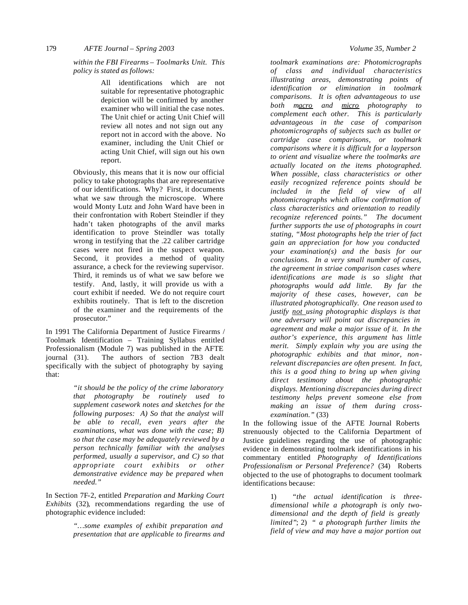179 *AFTE Journal – Spring 2003 Volume 35, Number 2*

*within the FBI Firearms – Toolmarks Unit. This policy is stated as follows:* 

> All identifications which are not suitable for representative photographic depiction will be confirmed by another examiner who will initial the case notes. The Unit chief or acting Unit Chief will review all notes and not sign out any report not in accord with the above. No examiner, including the Unit Chief or acting Unit Chief, will sign out his own report.

Obviously, this means that it is now our official policy to take photographs that are representative of our identifications. Why? First, it documents what we saw through the microscope. Where would Monty Lutz and John Ward have been in their confrontation with Robert Steindler if they hadn't taken photographs of the anvil marks identification to prove Steindler was totally wrong in testifying that the .22 caliber cartridge cases were not fired in the suspect weapon. Second, it provides a method of quality assurance, a check for the reviewing supervisor. Third, it reminds us of what we saw before we testify. And, lastly, it will provide us with a court exhibit if needed. We do not require court exhibits routinely. That is left to the discretion of the examiner and the requirements of the prosecutor."

In 1991 The California Department of Justice Firearms / Toolmark Identification – Training Syllabus entitled Professionalism (Module 7) was published in the AFTE journal (31). The authors of section 7B3 dealt specifically with the subject of photography by saying that:

> *"it should be the policy of the crime laboratory that photography be routinely used to supplement casework notes and sketches for the following purposes: A) So that the analyst will be able to recall, even years after the examinations, what was done with the case; B) so that the case may be adequately reviewed by a person technically familiar with the analyses performed, usually a supervisor, and C) so that appropriate court exhibits or other demonstrative evidence may be prepared when needed."*

In Section 7F-2, entitled *Preparation and Marking Court Exhibits* (32)*,* recommendations regarding the use of photographic evidence included:

> *"…some examples of exhibit preparation and presentation that are applicable to firearms and*

*toolmark examinations are: Photomicrographs of class and individual characteristics illustrating areas, demonstrating points of identification or elimination in toolmark comparisons. It is often advantageous to use both macro and micro photography to complement each other. This is particularly advantageous in the case of comparison photomicrographs of subjects such as bullet or cartridge case comparisons, or toolmark comparisons where it is difficult for a layperson to orient and visualize where the toolmarks are actually located on the items photographed. When possible, class characteristics or other easily recognized reference points should be included in the field of view of all photomicrographs which allow confirmation of class characteristics and orientation to readily recognize referenced points." The document further supports the use of photographs in court stating, "Most photographs help the trier of fact gain an appreciation for how you conducted your examination(s) and the basis for our conclusions. In a very small number of cases, the agreement in striae comparison cases where identifications are made is so slight that photographs would add little. By far the majority of these cases, however, can be illustrated photographically. One reason used to justify not using photographic displays is that one adversary will point out discrepancies in agreement and make a major issue of it. In the author's experience, this argument has little merit. Simply explain why you are using the photographic exhibits and that minor, nonrelevant discrepancies are often present. In fact, this is a good thing to bring up when giving direct testimony about the photographic displays. Mentioning discrepancies during direct testimony helps prevent someone else from making an issue of them during crossexamination."* (33)

In the following issue of the AFTE Journal Roberts strenuously objected to the California Department of Justice guidelines regarding the use of photographic evidence in demonstrating toolmark identifications in his commentary entitled *Photography of Identifications Professionalism or Personal Preference?* (34)Roberts objected to the use of photographs to document toolmark identifications because:

> 1) *"the actual identification is threedimensional while a photograph is only twodimensional and the depth of field is greatly limited"*; 2) *" a photograph further limits the field of view and may have a major portion out*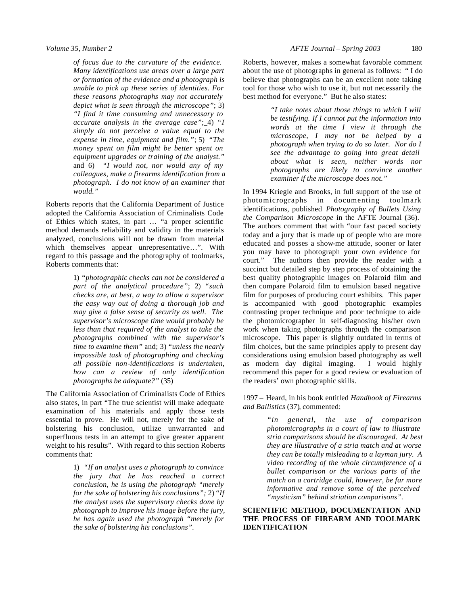*of focus due to the curvature of the evidence. Many identifications use areas over a large part or formation of the evidence and a photograph is unable to pick up these series of identities. For these reasons photographs may not accurately depict what is seen through the microscope"*; 3) *"I find it time consuming and unnecessary to accurate analysis in the average case"*; 4) *"I simply do not perceive a value equal to the expense in time, equipment and film."*; 5) *"The money spent on film might be better spent on equipment upgrades or training of the analyst."* and 6) *"I would not, nor would any of my colleagues, make a firearms identification from a photograph. I do not know of an examiner that would."*

Roberts reports that the California Department of Justice adopted the California Association of Criminalists Code of Ethics which states, in part … "a proper scientific method demands reliability and validity in the materials analyzed, conclusions will not be drawn from material which themselves appear unrepresentative…". With regard to this passage and the photography of toolmarks, Roberts comments that:

> 1) *"photographic checks can not be considered a part of the analytical procedure"*; 2) *"such checks are, at best, a way to allow a supervisor the easy way out of doing a thorough job and may give a false sense of security as well. The supervisor's microscope time would probably be less than that required of the analyst to take the photographs combined with the supervisor's time to examine them"* and; 3) *"unless the nearly impossible task of photographing and checking all possible non-identifications is undertaken, how can a review of only identification photographs be adequate?"* (35)

The California Association of Criminalists Code of Ethics also states, in part "The true scientist will make adequate examination of his materials and apply those tests essential to prove. He will not, merely for the sake of bolstering his conclusion, utilize unwarranted and superfluous tests in an attempt to give greater apparent weight to his results". With regard to this section Roberts comments that:

> 1) *"If an analyst uses a photograph to convince the jury that he has reached a correct conclusion, he is using the photograph "merely for the sake of bolstering his conclusions";* 2) "*If the analyst uses the supervisory checks done by photograph to improve his image before the jury, he has again used the photograph "merely for the sake of bolstering his conclusions".*

Roberts, however, makes a somewhat favorable comment about the use of photographs in general as follows: " I do believe that photographs can be an excellent note taking tool for those who wish to use it, but not necessarily the best method for everyone." But he also states:

> *"I take notes about those things to which I will be testifying. If I cannot put the information into words at the time I view it through the microscope, I may not be helped by a photograph when trying to do so later. Nor do I see the advantage to going into great detail about what is seen, neither words nor photographs are likely to convince another examiner if the microscope does not."*

In 1994 Kriegle and Brooks, in full support of the use of photomicrographs in documenting toolmark identifications, published *Photography of Bullets Using the Comparison Microscope* in the AFTE Journal (36). The authors comment that with "our fast paced society today and a jury that is made up of people who are more educated and posses a show-me attitude, sooner or later you may have to photograph your own evidence for court." The authors then provide the reader with a succinct but detailed step by step process of obtaining the best quality photographic images on Polaroid film and then compare Polaroid film to emulsion based negative film for purposes of producing court exhibits. This paper is accompanied with good photographic examples contrasting proper technique and poor technique to aide the photomicrographer in self-diagnosing his/her own work when taking photographs through the comparison microscope. This paper is slightly outdated in terms of film choices, but the same principles apply to present day considerations using emulsion based photography as well as modern day digital imaging. I would highly recommend this paper for a good review or evaluation of the readers' own photographic skills.

1997 – Heard, in his book entitled *Handbook of Firearms and Ballistics* (37)*,* commented:

> *"in general, the use of comparison photomicrographs in a court of law to illustrate stria comparisons should be discouraged. At best they are illustrative of a stria match and at worse they can be totally misleading to a layman jury. A video recording of the whole circumference of a bullet comparison or the various parts of the match on a cartridge could, however, be far more informative and remove some of the perceived "mysticism" behind striation comparisons".*

## **SCIENTIFIC METHOD, DOCUMENTATION AND THE PROCESS OF FIREARM AND TOOLMARK IDENTIFICATION**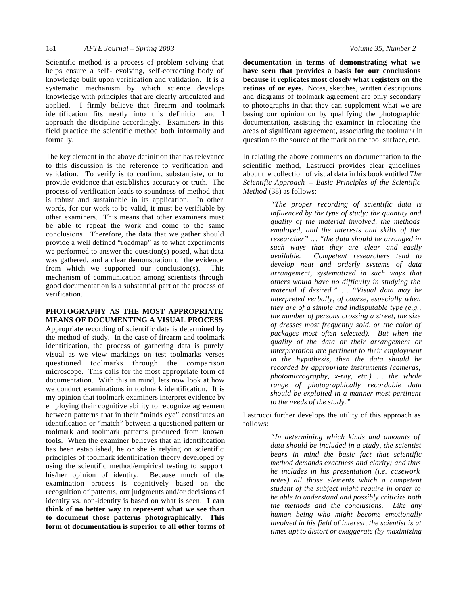Scientific method is a process of problem solving that helps ensure a self- evolving, self-correcting body of knowledge built upon verification and validation. It is a systematic mechanism by which science develops knowledge with principles that are clearly articulated and applied. I firmly believe that firearm and toolmark identification fits neatly into this definition and I approach the discipline accordingly. Examiners in this field practice the scientific method both informally and formally.

The key element in the above definition that has relevance to this discussion is the reference to verification and validation. To verify is to confirm, substantiate, or to provide evidence that establishes accuracy or truth. The process of verification leads to soundness of method that is robust and sustainable in its application. In other words, for our work to be valid, it must be verifiable by other examiners. This means that other examiners must be able to repeat the work and come to the same conclusions. Therefore, the data that we gather should provide a well defined "roadmap" as to what experiments we performed to answer the question(s) posed, what data was gathered, and a clear demonstration of the evidence from which we supported our conclusion(s). This mechanism of communication among scientists through good documentation is a substantial part of the process of verification.

#### **PHOTOGRAPHY AS THE MOST APPROPRIATE MEANS OF DOCUMENTING A VISUAL PROCESS**

Appropriate recording of scientific data is determined by the method of study. In the case of firearm and toolmark identification, the process of gathering data is purely visual as we view markings on test toolmarks verses questioned toolmarks through the comparison microscope. This calls for the most appropriate form of documentation. With this in mind, lets now look at how we conduct examinations in toolmark identification. It is my opinion that toolmark examiners interpret evidence by employing their cognitive ability to recognize agreement between patterns that in their "minds eye" constitutes an identification or "match" between a questioned pattern or toolmark and toolmark patterns produced from known tools. When the examiner believes that an identification has been established, he or she is relying on scientific principles of toolmark identification theory developed by using the scientific method/empirical testing to support his/her opinion of identity. Because much of the examination process is cognitively based on the recognition of patterns, our judgments and/or decisions of identity vs. non-identity is based on what is seen. **I can think of no better way to represent what we see than to document those patterns photographically. This form of documentation is superior to all other forms of** 

**documentation in terms of demonstrating what we have seen that provides a basis for our conclusions because it replicates most closely what registers on the retinas of or eyes.** Notes, sketches, written descriptions and diagrams of toolmark agreement are only secondary to photographs in that they can supplement what we are basing our opinion on by qualifying the photographic documentation, assisting the examiner in relocating the areas of significant agreement, associating the toolmark in question to the source of the mark on the tool surface, etc.

In relating the above comments on documentation to the scientific method, Lastrucci provides clear guidelines about the collection of visual data in his book entitled *The Scientific Approach – Basic Principles of the Scientific Method* (38) as follows:

> *"The proper recording of scientific data is influenced by the type of study: the quantity and quality of the material involved, the methods employed, and the interests and skills of the researcher" … "the data should be arranged in such ways that they are clear and easily available. Competent researchers tend to develop neat and orderly systems of data arrangement, systematized in such ways that others would have no difficulty in studying the material if desired." … "Visual data may be interpreted verbally, of course, especially when they are of a simple and indisputable type (e.g., the number of persons crossing a street, the size of dresses most frequently sold, or the color of packages most often selected). But when the quality of the data or their arrangement or interpretation are pertinent to their employment in the hypothesis, then the data should be recorded by appropriate instruments (cameras, photomicrography, x-ray, etc.) … the whole range of photographically recordable data should be exploited in a manner most pertinent to the needs of the study."*

Lastrucci further develops the utility of this approach as follows:

> *"In determining which kinds and amounts of data should be included in a study, the scientist bears in mind the basic fact that scientific method demands exactness and clarity; and thus he includes in his presentation (i.e. casework notes) all those elements which a competent student of the subject might require in order to be able to understand and possibly criticize both the methods and the conclusions. Like any human being who might become emotionally involved in his field of interest, the scientist is at times apt to distort or exaggerate (by maximizing*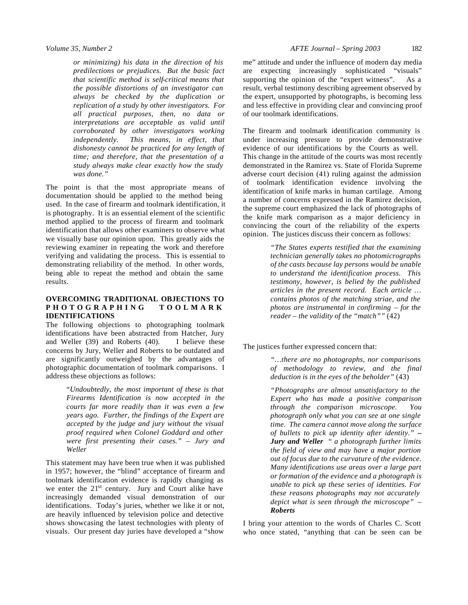*or minimizing) his data in the direction of his predilections or prejudices. But the basic fact that scientific method is self-critical means that the possible distortions of an investigator can always be checked by the duplication or replication of a study by other investigators. For all practical purposes, then, no data or interpretations are acceptable as valid until corroborated by other investigators working independently. This means, in effect, that dishonesty cannot be practiced for any length of time; and therefore, that the presentation of a study always make clear exactly how the study was done."*

The point is that the most appropriate means of documentation should be applied to the method being used. In the case of firearm and toolmark identification, it is photography. It is an essential element of the scientific method applied to the process of firearm and toolmark identification that allows other examiners to observe what we visually base our opinion upon. This greatly aids the reviewing examiner in repeating the work and therefore verifying and validating the process. This is essential to demonstrating reliability of the method. In other words, being able to repeat the method and obtain the same results.

## **OVERCOMING TRADITIONAL OBJECTIONS TO PHOTOGRAPHING TOOLMARK IDENTIFICATIONS**

The following objections to photographing toolmark identifications have been abstracted from Hatcher, Jury and Weller (39) and Roberts (40). I believe these concerns by Jury, Weller and Roberts to be outdated and are significantly outweighed by the advantages of photographic documentation of toolmark comparisons. I address these objections as follows:

> "*Undoubtedly, the most important of these is that Firearms Identification is now accepted in the courts far more readily than it was even a few years ago. Further, the findings of the Expert are accepted by the judge and jury without the visual proof required when Colonel Goddard and other were first presenting their cases." – Jury and Weller*

This statement may have been true when it was published in 1957; however, the "blind" acceptance of firearm and toolmark identification evidence is rapidly changing as we enter the 21<sup>st</sup> century. Jury and Court alike have increasingly demanded visual demonstration of our identifications. Today's juries, whether we like it or not, are heavily influenced by television police and detective shows showcasing the latest technologies with plenty of visuals. Our present day juries have developed a "show

me" attitude and under the influence of modern day media are expecting increasingly sophisticated "visuals" supporting the opinion of the "expert witness". As a result, verbal testimony describing agreement observed by the expert, unsupported by photographs, is becoming less and less effective in providing clear and convincing proof of our toolmark identifications.

The firearm and toolmark identification community is under increasing pressure to provide demonstrative evidence of our identifications by the Courts as well. This change in the attitude of the courts was most recently demonstrated in the Ramirez vs. State of Florida Supreme adverse court decision (41) ruling against the admission of toolmark identification evidence involving the identification of knife marks in human cartilage. Among a number of concerns expressed in the Ramirez decision, the supreme court emphasized the lack of photographs of the knife mark comparison as a major deficiency in convincing the court of the reliability of the experts opinion. The justices discuss their concern as follows:

> *"The States experts testified that the examining technician generally takes no photomicrographs of the casts because lay persons would be unable to understand the identification process. This testimony, however, is belied by the published articles in the present record. Each article … contains photos of the matching striae, and the photos are instrumental in confirming – for the reader – the validity of the "match""* (42)

The justices further expressed concern that:

*"…there are no photographs, nor comparisons of methodology to review, and the final deduction is in the eyes of the beholder"* (43)

*"Photographs are almost unsatisfactory to the Expert who has made a positive comparison through the comparison microscope. You photograph only what you can see at one single time. The camera cannot move along the surface of bullets to pick up identity after identity." – Jury and Weller " a photograph further limits the field of view and may have a major portion out of focus due to the curvature of the evidence. Many identifications use areas over a large part or formation of the evidence and a photograph is unable to pick up these series of identities. For these reasons photographs may not accurately depict what is seen through the microscope" – Roberts* 

I bring your attention to the words of Charles C. Scott who once stated, "anything that can be seen can be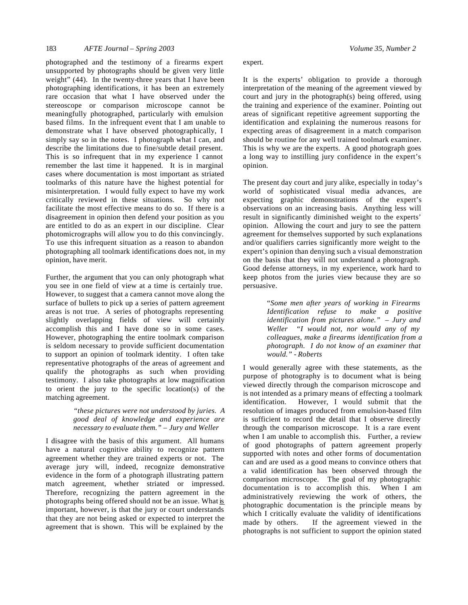photographed and the testimony of a firearms expert unsupported by photographs should be given very little weight" (44). In the twenty-three years that I have been photographing identifications, it has been an extremely rare occasion that what I have observed under the stereoscope or comparison microscope cannot be meaningfully photographed, particularly with emulsion based films. In the infrequent event that I am unable to demonstrate what I have observed photographically, I simply say so in the notes. I photograph what I can, and describe the limitations due to fine/subtle detail present. This is so infrequent that in my experience I cannot remember the last time it happened. It is in marginal cases where documentation is most important as striated toolmarks of this nature have the highest potential for misinterpretation. I would fully expect to have my work critically reviewed in these situations. So why not facilitate the most effective means to do so. If there is a disagreement in opinion then defend your position as you are entitled to do as an expert in our discipline. Clear photomicrographs will allow you to do this convincingly. To use this infrequent situation as a reason to abandon photographing all toolmark identifications does not, in my opinion, have merit.

Further, the argument that you can only photograph what you see in one field of view at a time is certainly true. However, to suggest that a camera cannot move along the surface of bullets to pick up a series of pattern agreement areas is not true. A series of photographs representing slightly overlapping fields of view will certainly accomplish this and I have done so in some cases. However, photographing the entire toolmark comparison is seldom necessary to provide sufficient documentation to support an opinion of toolmark identity. I often take representative photographs of the areas of agreement and qualify the photographs as such when providing testimony. I also take photographs at low magnification to orient the jury to the specific location(s) of the matching agreement.

## *"these pictures were not understood by juries. A good deal of knowledge and experience are necessary to evaluate them." – Jury and Weller*

I disagree with the basis of this argument. All humans have a natural cognitive ability to recognize pattern agreement whether they are trained experts or not. The average jury will, indeed, recognize demonstrative evidence in the form of a photograph illustrating pattern match agreement, whether striated or impressed. Therefore, recognizing the pattern agreement in the photographs being offered should not be an issue. What is important, however, is that the jury or court understands that they are not being asked or expected to interpret the agreement that is shown. This will be explained by the

expert.

It is the experts' obligation to provide a thorough interpretation of the meaning of the agreement viewed by court and jury in the photograph(s) being offered, using the training and experience of the examiner. Pointing out areas of significant repetitive agreement supporting the identification and explaining the numerous reasons for expecting areas of disagreement in a match comparison should be routine for any well trained toolmark examiner. This is why we are the experts. A good photograph goes a long way to instilling jury confidence in the expert's opinion.

The present day court and jury alike, especially in today's world of sophisticated visual media advances, are expecting graphic demonstrations of the expert's observations on an increasing basis. Anything less will result in significantly diminished weight to the experts' opinion. Allowing the court and jury to see the pattern agreement for themselves supported by such explanations and/or qualifiers carries significantly more weight to the expert's opinion than denying such a visual demonstration on the basis that they will not understand a photograph. Good defense attorneys, in my experience, work hard to keep photos from the juries view because they are so persuasive.

> "*Some men after years of working in Firearms Identification refuse to make a positive identification from pictures alone." – Jury and Weller "I would not, nor would any of my colleagues, make a firearms identification from a photograph. I do not know of an examiner that would." - Roberts*

I would generally agree with these statements, as the purpose of photography is to document what is being viewed directly through the comparison microscope and is not intended as a primary means of effecting a toolmark identification. However, I would submit that the resolution of images produced from emulsion-based film is sufficient to record the detail that I observe directly through the comparison microscope. It is a rare event when I am unable to accomplish this. Further, a review of good photographs of pattern agreement properly supported with notes and other forms of documentation can and are used as a good means to convince others that a valid identification has been observed through the comparison microscope. The goal of my photographic documentation is to accomplish this. When I am administratively reviewing the work of others, the photographic documentation is the principle means by which I critically evaluate the validity of identifications made by others. If the agreement viewed in the photographs is not sufficient to support the opinion stated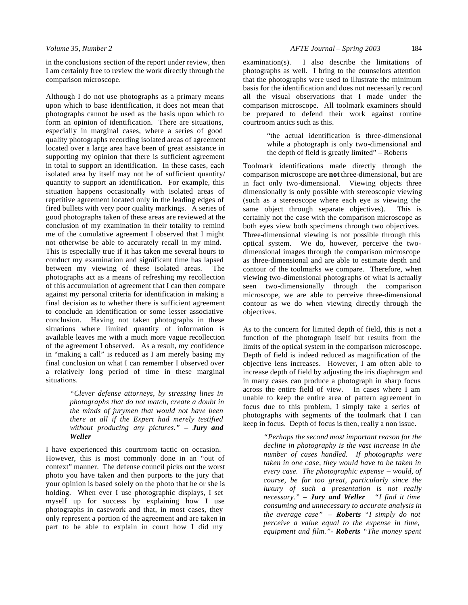in the conclusions section of the report under review, then I am certainly free to review the work directly through the comparison microscope.

Although I do not use photographs as a primary means upon which to base identification, it does not mean that photographs cannot be used as the basis upon which to form an opinion of identification. There are situations, especially in marginal cases, where a series of good quality photographs recording isolated areas of agreement located over a large area have been of great assistance in supporting my opinion that there is sufficient agreement in total to support an identification. In these cases, each isolated area by itself may not be of sufficient quantity/ quantity to support an identification. For example, this situation happens occasionally with isolated areas of repetitive agreement located only in the leading edges of fired bullets with very poor quality markings. A series of good photographs taken of these areas are reviewed at the conclusion of my examination in their totality to remind me of the cumulative agreement I observed that I might not otherwise be able to accurately recall in my mind. This is especially true if it has taken me several hours to conduct my examination and significant time has lapsed between my viewing of these isolated areas. The photographs act as a means of refreshing my recollection of this accumulation of agreement that I can then compare against my personal criteria for identification in making a final decision as to whether there is sufficient agreement to conclude an identification or some lesser associative conclusion. Having not taken photographs in these situations where limited quantity of information is available leaves me with a much more vague recollection of the agreement I observed. As a result, my confidence in "making a call" is reduced as I am merely basing my final conclusion on what I can remember I observed over a relatively long period of time in these marginal situations.

> *"Clever defense attorneys, by stressing lines in photographs that do not match, create a doubt in the minds of jurymen that would not have been there at all if the Expert had merely testified without producing any pictures." – Jury and Weller*

I have experienced this courtroom tactic on occasion. However, this is most commonly done in an "out of context" manner. The defense council picks out the worst photo you have taken and then purports to the jury that your opinion is based solely on the photo that he or she is holding. When ever I use photographic displays, I set myself up for success by explaining how I use photographs in casework and that, in most cases, they only represent a portion of the agreement and are taken in part to be able to explain in court how I did my

examination(s). I also describe the limitations of photographs as well. I bring to the counselors attention that the photographs were used to illustrate the minimum basis for the identification and does not necessarily record all the visual observations that I made under the comparison microscope. All toolmark examiners should be prepared to defend their work against routine courtroom antics such as this.

> "the actual identification is three-dimensional while a photograph is only two-dimensional and the depth of field is greatly limited" – Roberts

Toolmark identifications made directly through the comparison microscope are **not** three-dimensional, but are in fact only two-dimensional. Viewing objects three dimensionally is only possible with stereoscopic viewing (such as a stereoscope where each eye is viewing the same object through separate objectives). This is certainly not the case with the comparison microscope as both eyes view both specimens through two objectives. Three-dimensional viewing is not possible through this optical system. We do, however, perceive the twodimensional images through the comparison microscope as three-dimensional and are able to estimate depth and contour of the toolmarks we compare. Therefore, when viewing two-dimensional photographs of what is actually seen two-dimensionally through the comparison microscope, we are able to perceive three-dimensional contour as we do when viewing directly through the objectives.

As to the concern for limited depth of field, this is not a function of the photograph itself but results from the limits of the optical system in the comparison microscope. Depth of field is indeed reduced as magnification of the objective lens increases. However, I am often able to increase depth of field by adjusting the iris diaphragm and in many cases can produce a photograph in sharp focus across the entire field of view. In cases where I am unable to keep the entire area of pattern agreement in focus due to this problem, I simply take a series of photographs with segments of the toolmark that I can keep in focus. Depth of focus is then, really a non issue.

> *"Perhaps the second most important reason for the decline in photography is the vast increase in the number of cases handled. If photographs were taken in one case, they would have to be taken in every case. The photographic expense – would, of course, be far too great, particularly since the luxury of such a presentation is not really necessary." – Jury and Weller "I find it time consuming and unnecessary to accurate analysis in the average case" – Roberts "I simply do not perceive a value equal to the expense in time, equipment and film."- Roberts "The money spent*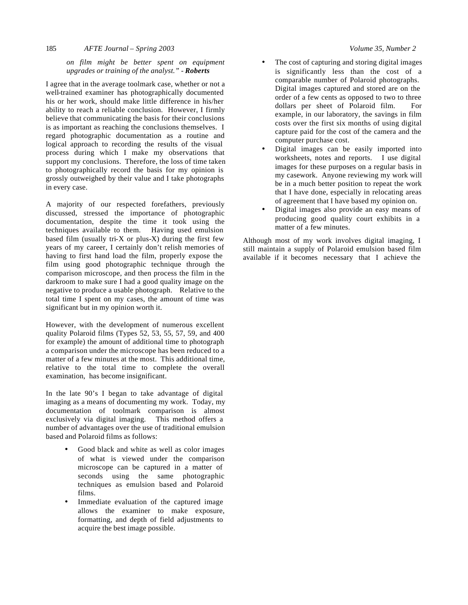### 185 *AFTE Journal – Spring 2003 Volume 35, Number 2*

## *on film might be better spent on equipment upgrades or training of the analyst." - Roberts*

I agree that in the average toolmark case, whether or not a well-trained examiner has photographically documented his or her work, should make little difference in his/her ability to reach a reliable conclusion. However, I firmly believe that communicating the basis for their conclusions is as important as reaching the conclusions themselves. I regard photographic documentation as a routine and logical approach to recording the results of the visual process during which I make my observations that support my conclusions. Therefore, the loss of time taken to photographically record the basis for my opinion is grossly outweighed by their value and I take photographs in every case.

A majority of our respected forefathers, previously discussed, stressed the importance of photographic documentation, despite the time it took using the techniques available to them. Having used emulsion based film (usually tri-X or plus-X) during the first few years of my career, I certainly don't relish memories of having to first hand load the film, properly expose the film using good photographic technique through the comparison microscope, and then process the film in the darkroom to make sure I had a good quality image on the negative to produce a usable photograph. Relative to the total time I spent on my cases, the amount of time was significant but in my opinion worth it.

However, with the development of numerous excellent quality Polaroid films (Types 52, 53, 55, 57, 59, and 400 for example) the amount of additional time to photograph a comparison under the microscope has been reduced to a matter of a few minutes at the most. This additional time, relative to the total time to complete the overall examination, has become insignificant.

In the late 90's I began to take advantage of digital imaging as a means of documenting my work. Today, my documentation of toolmark comparison is almost exclusively via digital imaging. This method offers a number of advantages over the use of traditional emulsion based and Polaroid films as follows:

- Good black and white as well as color images of what is viewed under the comparison microscope can be captured in a matter of seconds using the same photographic techniques as emulsion based and Polaroid films.
- Immediate evaluation of the captured image allows the examiner to make exposure, formatting, and depth of field adjustments to acquire the best image possible.
- The cost of capturing and storing digital images is significantly less than the cost of a comparable number of Polaroid photographs. Digital images captured and stored are on the order of a few cents as opposed to two to three dollars per sheet of Polaroid film. For example, in our laboratory, the savings in film costs over the first six months of using digital capture paid for the cost of the camera and the computer purchase cost.
- Digital images can be easily imported into worksheets, notes and reports. I use digital images for these purposes on a regular basis in my casework. Anyone reviewing my work will be in a much better position to repeat the work that I have done, especially in relocating areas of agreement that I have based my opinion on.
- Digital images also provide an easy means of producing good quality court exhibits in a matter of a few minutes.

Although most of my work involves digital imaging, I still maintain a supply of Polaroid emulsion based film available if it becomes necessary that I achieve the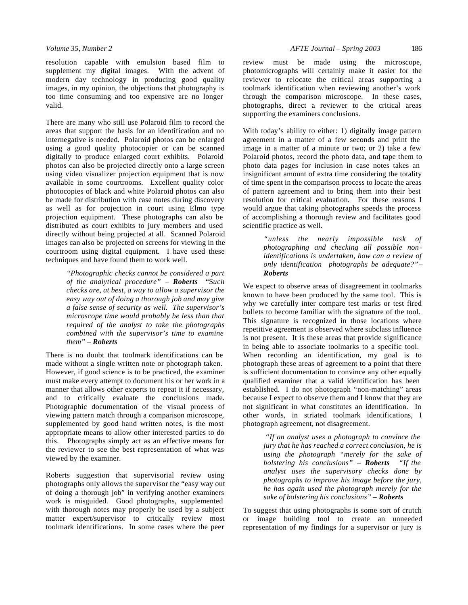resolution capable with emulsion based film to supplement my digital images. With the advent of modern day technology in producing good quality images, in my opinion, the objections that photography is too time consuming and too expensive are no longer valid.

There are many who still use Polaroid film to record the areas that support the basis for an identification and no internegative is needed. Polaroid photos can be enlarged using a good quality photocopier or can be scanned digitally to produce enlarged court exhibits. Polaroid photos can also be projected directly onto a large screen using video visualizer projection equipment that is now available in some courtrooms. Excellent quality color photocopies of black and white Polaroid photos can also be made for distribution with case notes during discovery as well as for projection in court using Elmo type projection equipment. These photographs can also be distributed as court exhibits to jury members and used directly without being projected at all. Scanned Polaroid images can also be projected on screens for viewing in the courtroom using digital equipment. I have used these techniques and have found them to work well.

> *"Photographic checks cannot be considered a part of the analytical procedure"* – *Roberts* "S*uch checks are, at best, a way to allow a supervisor the easy way out of doing a thorough job and may give a false sense of security as well. The supervisor's microscope time would probably be less than that required of the analyst to take the photographs combined with the supervisor's time to examine them"* – *Roberts*

There is no doubt that toolmark identifications can be made without a single written note or photograph taken. However, if good science is to be practiced, the examiner must make every attempt to document his or her work in a manner that allows other experts to repeat it if necessary, and to critically evaluate the conclusions made. Photographic documentation of the visual process of viewing pattern match through a comparison microscope, supplemented by good hand written notes, is the most appropriate means to allow other interested parties to do this. Photographs simply act as an effective means for the reviewer to see the best representation of what was viewed by the examiner.

Roberts suggestion that supervisorial review using photographs only allows the supervisor the "easy way out of doing a thorough job" in verifying another examiners work is misguided. Good photographs, supplemented with thorough notes may properly be used by a subject matter expert/supervisor to critically review most toolmark identifications. In some cases where the peer

review must be made using the microscope, photomicrographs will certainly make it easier for the reviewer to relocate the critical areas supporting a toolmark identification when reviewing another's work through the comparison microscope. In these cases, photographs, direct a reviewer to the critical areas supporting the examiners conclusions.

With today's ability to either: 1) digitally image pattern agreement in a matter of a few seconds and print the image in a matter of a minute or two; or 2) take a few Polaroid photos, record the photo data, and tape them to photo data pages for inclusion in case notes takes an insignificant amount of extra time considering the totality of time spent in the comparison process to locate the areas of pattern agreement and to bring them into their best resolution for critical evaluation. For these reasons I would argue that taking photographs speeds the process of accomplishing a thorough review and facilitates good scientific practice as well.

> *"unless the nearly impossible task of photographing and checking all possible nonidentifications is undertaken, how can a review of only identification photographs be adequate?"*– *Roberts*

We expect to observe areas of disagreement in toolmarks known to have been produced by the same tool. This is why we carefully inter compare test marks or test fired bullets to become familiar with the signature of the tool. This signature is recognized in those locations where repetitive agreement is observed where subclass influence is not present. It is these areas that provide significance in being able to associate toolmarks to a specific tool. When recording an identification, my goal is to photograph these areas of agreement to a point that there is sufficient documentation to convince any other equally qualified examiner that a valid identification has been established. I do not photograph "non-matching" areas because I expect to observe them and I know that they are not significant in what constitutes an identification. In other words, in striated toolmark identifications, I photograph agreement, not disagreement.

> *"If an analyst uses a photograph to convince the jury that he has reached a correct conclusion, he is using the photograph "merely for the sake of bolstering his conclusions"* – *Roberts "If the analyst uses the supervisory checks done by photographs to improve his image before the jury, he has again used the photograph merely for the sake of bolstering his conclusions"* – *Roberts*

To suggest that using photographs is some sort of crutch or image building tool to create an unneeded representation of my findings for a supervisor or jury is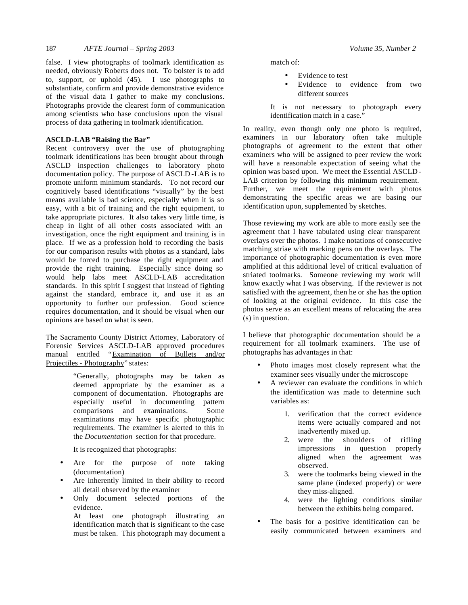false. I view photographs of toolmark identification as needed, obviously Roberts does not. To bolster is to add to, support, or uphold (45). I use photographs to substantiate, confirm and provide demonstrative evidence of the visual data I gather to make my conclusions. Photographs provide the clearest form of communication among scientists who base conclusions upon the visual process of data gathering in toolmark identification.

## **ASCLD-LAB "Raising the Bar"**

Recent controversy over the use of photographing toolmark identifications has been brought about through ASCLD inspection challenges to laboratory photo documentation policy. The purpose of ASCLD -LAB is to promote uniform minimum standards. To not record our cognitively based identifications "visually" by the best means available is bad science, especially when it is so easy, with a bit of training and the right equipment, to take appropriate pictures. It also takes very little time, is cheap in light of all other costs associated with an investigation, once the right equipment and training is in place. If we as a profession hold to recording the basis for our comparison results with photos as a standard, labs would be forced to purchase the right equipment and provide the right training. Especially since doing so would help labs meet ASCLD-LAB accreditation standards. In this spirit I suggest that instead of fighting against the standard, embrace it, and use it as an opportunity to further our profession. Good science requires documentation, and it should be visual when our opinions are based on what is seen.

The Sacramento County District Attorney, Laboratory of Forensic Services ASCLD-LAB approved procedures manual entitled "Examination of Bullets and/or Projectiles - Photography" states:

> "Generally, photographs may be taken as deemed appropriate by the examiner as a component of documentation. Photographs are especially useful in documenting pattern comparisons and examinations. Some examinations may have specific photographic requirements. The examiner is alerted to this in the *Documentation* section for that procedure.

It is recognized that photographs:

- Are for the purpose of note taking (documentation)
- Are inherently limited in their ability to record all detail observed by the examiner
- Only document selected portions of the evidence.

At least one photograph illustrating an identification match that is significant to the case must be taken. This photograph may document a match of:

- Evidence to test
- Evidence to evidence from two different sources
- It is not necessary to photograph every identification match in a case."

In reality, even though only one photo is required, examiners in our laboratory often take multiple photographs of agreement to the extent that other examiners who will be assigned to peer review the work will have a reasonable expectation of seeing what the opinion was based upon. We meet the Essential ASCLD - LAB criterion by following this minimum requirement. Further, we meet the requirement with photos demonstrating the specific areas we are basing our identification upon, supplemented by sketches.

Those reviewing my work are able to more easily see the agreement that I have tabulated using clear transparent overlays over the photos. I make notations of consecutive matching striae with marking pens on the overlays. The importance of photographic documentation is even more amplified at this additional level of critical evaluation of striated toolmarks. Someone reviewing my work will know exactly what I was observing. If the reviewer is not satisfied with the agreement, then he or she has the option of looking at the original evidence. In this case the photos serve as an excellent means of relocating the area (s) in question.

I believe that photographic documentation should be a requirement for all toolmark examiners. The use of photographs has advantages in that:

- Photo images most closely represent what the examiner sees visually under the microscope
- A reviewer can evaluate the conditions in which the identification was made to determine such variables as:
	- 1. verification that the correct evidence items were actually compared and not inadvertently mixed up.
	- 2. were the shoulders of rifling impressions in question properly aligned when the agreement was observed.
	- 3. were the toolmarks being viewed in the same plane (indexed properly) or were they miss-aligned.
	- 4. were the lighting conditions similar between the exhibits being compared.
- The basis for a positive identification can be easily communicated between examiners and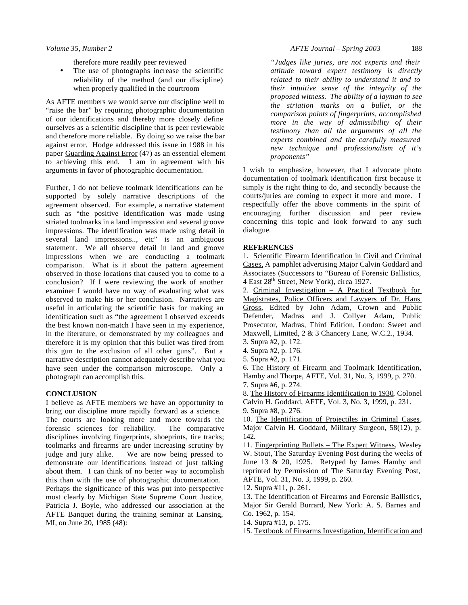therefore more readily peer reviewed

The use of photographs increase the scientific reliability of the method (and our discipline) when properly qualified in the courtroom

As AFTE members we would serve our discipline well to "raise the bar" by requiring photographic documentation of our identifications and thereby more closely define ourselves as a scientific discipline that is peer reviewable and therefore more reliable. By doing so we raise the bar against error. Hodge addressed this issue in 1988 in his paper Guarding Against Error (47) as an essential element to achieving this end. I am in agreement with his arguments in favor of photographic documentation.

Further, I do not believe toolmark identifications can be supported by solely narrative descriptions of the agreement observed. For example, a narrative statement such as "the positive identification was made using striated toolmarks in a land impression and several groove impressions. The identification was made using detail in several land impressions.., etc" is an ambiguous statement. We all observe detail in land and groove impressions when we are conducting a toolmark comparison. What is it about the pattern agreement observed in those locations that caused you to come to a conclusion? If I were reviewing the work of another examiner I would have no way of evaluating what was observed to make his or her conclusion. Narratives are useful in articulating the scientific basis for making an identification such as "the agreement I observed exceeds the best known non-match I have seen in my experience, in the literature, or demonstrated by my colleagues and therefore it is my opinion that this bullet was fired from this gun to the exclusion of all other guns". But a narrative description cannot adequately describe what you have seen under the comparison microscope. Only a photograph can accomplish this.

#### **CONCLUSION**

I believe as AFTE members we have an opportunity to bring our discipline more rapidly forward as a science. The courts are looking more and more towards the forensic sciences for reliability. The comparative disciplines involving fingerprints, shoeprints, tire tracks; toolmarks and firearms are under increasing scrutiny by judge and jury alike. We are now being pressed to demonstrate our identifications instead of just talking about them. I can think of no better way to accomplish this than with the use of photographic documentation. Perhaps the significance of this was put into perspective most clearly by Michigan State Supreme Court Justice, Patricia J. Boyle, who addressed our association at the AFTE Banquet during the training seminar at Lansing, MI, on June 20, 1985 (48):

*"Judges like juries, are not experts and their attitude toward expert testimony is directly related to their ability to understand it and to their intuitive sense of the integrity of the proposed witness. The ability of a layman to see the striation marks on a bullet, or the comparison points of fingerprints, accomplished more in the way of admissibility of their testimony than all the arguments of all the experts combined and the carefully measured new technique and professionalism of it's proponents"*

I wish to emphasize, however, that I advocate photo documentation of toolmark identification first because it simply is the right thing to do, and secondly because the courts/juries are coming to expect it more and more. I respectfully offer the above comments in the spirit of encouraging further discussion and peer review concerning this topic and look forward to any such dialogue.

#### **REFERENCES**

1. Scientific Firearm Identification in Civil and Criminal Cases, A pamphlet advertising Major Calvin Goddard and Associates (Successors to "Bureau of Forensic Ballistics, 4 East 28th Street, New York), circa 1927.

2. Criminal Investigation – A Practical Textbook for Magistrates, Police Officers and Lawyers of Dr. Hans Gross, Edited by John Adam, Crown and Public Defender, Madras and J. Collyer Adam, Public Prosecutor, Madras, Third Edition, London: Sweet and Maxwell, Limited, 2 & 3 Chancery Lane, W.C.2., 1934.

- 4. Supra #2, p. 176.
- 5. Supra #2, p. 171.

6. The History of Firearm and Toolmark Identification, Hamby and Thorpe, AFTE, Vol. 31, No. 3, 1999, p. 270. 7. Supra #6, p. 274.

8. The History of Firearms Identification to 1930, Colonel Calvin H. Goddard, AFTE, Vol. 3, No. 3, 1999, p. 231. 9. Supra #8, p. 276.

10. The Identification of Projectiles in Criminal Cases, Major Calvin H. Goddard, Military Surgeon, 58(12), p. 142.

11. Fingerprinting Bullets – The Expert Witness, Wesley W. Stout, The Saturday Evening Post during the weeks of June 13 & 20, 1925. Retyped by James Hamby and reprinted by Permission of The Saturday Evening Post, AFTE, Vol. 31, No. 3, 1999, p. 260.

12. Supra #11, p. 261.

13. The Identification of Firearms and Forensic Ballistics, Major Sir Gerald Burrard, New York: A. S. Barnes and Co. 1962, p. 154.

14. Supra #13, p. 175.

15. Textbook of Firearms Investigation, Identification and

<sup>3.</sup> Supra #2, p. 172.